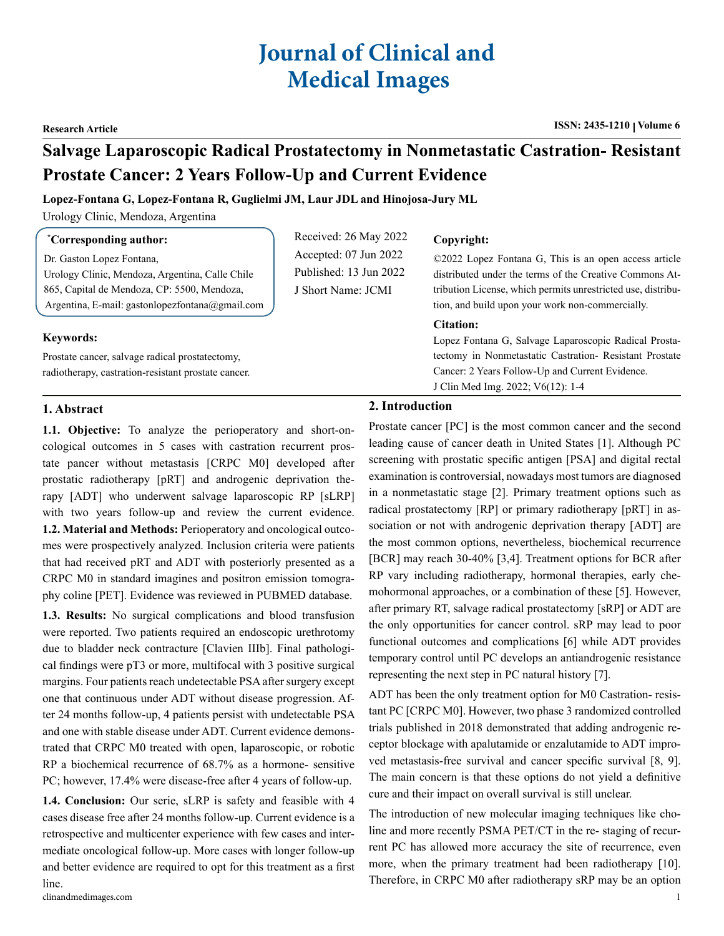# **Journal of Clinical and Medical Images**

#### **Research Article ISSN: 2435-1210 Volume 6**

## **Salvage Laparoscopic Radical Prostatectomy in Nonmetastatic Castration- Resistant Prostate Cancer: 2 Years Follow-Up and Current Evidence**

#### **Lopez-Fontana G, Lopez-Fontana R, Guglielmi JM, Laur JDL and Hinojosa-Jury ML**

Urology Clinic, Mendoza, Argentina

#### **\* Corresponding author:**

Dr. Gaston Lopez Fontana, Urology Clinic, Mendoza, Argentina, Calle Chile 865, Capital de Mendoza, CP: 5500, Mendoza, Argentina, E-mail: gastonlopezfontana@gmail.com

## **Keywords:**

Prostate cancer, salvage radical prostatectomy, radiotherapy, castration-resistant prostate cancer.

### Received: 26 May 2022 Accepted: 07 Jun 2022 Published: 13 Jun 2022 J Short Name: JCMI

#### **Copyright:**

©2022 Lopez Fontana G, This is an open access article distributed under the terms of the Creative Commons Attribution License, which permits unrestricted use, distribution, and build upon your work non-commercially.

#### **Citation:**

Lopez Fontana G, Salvage Laparoscopic Radical Prostatectomy in Nonmetastatic Castration- Resistant Prostate Cancer: 2 Years Follow-Up and Current Evidence. J Clin Med Img. 2022; V6(12): 1-4

#### **1. Abstract**

**1.1. Objective:** To analyze the perioperatory and short-oncological outcomes in 5 cases with castration recurrent prostate pancer without metastasis [CRPC M0] developed after prostatic radiotherapy [pRT] and androgenic deprivation therapy [ADT] who underwent salvage laparoscopic RP [sLRP] with two years follow-up and review the current evidence. **1.2. Material and Methods:** Perioperatory and oncological outcomes were prospectively analyzed. Inclusion criteria were patients that had received pRT and ADT with posteriorly presented as a CRPC M0 in standard imagines and positron emission tomography coline [PET]. Evidence was reviewed in PUBMED database.

**1.3. Results:** No surgical complications and blood transfusion were reported. Two patients required an endoscopic urethrotomy due to bladder neck contracture [Clavien IIIb]. Final pathological findings were pT3 or more, multifocal with 3 positive surgical margins. Four patients reach undetectable PSA after surgery except one that continuous under ADT without disease progression. After 24 months follow-up, 4 patients persist with undetectable PSA and one with stable disease under ADT. Current evidence demonstrated that CRPC M0 treated with open, laparoscopic, or robotic RP a biochemical recurrence of 68.7% as a hormone- sensitive PC; however, 17.4% were disease-free after 4 years of follow-up.

**1.4. Conclusion:** Our serie, sLRP is safety and feasible with 4 cases disease free after 24 months follow-up. Current evidence is a retrospective and multicenter experience with few cases and intermediate oncological follow-up. More cases with longer follow-up and better evidence are required to opt for this treatment as a first line.

#### **2. Introduction**

Prostate cancer [PC] is the most common cancer and the second leading cause of cancer death in United States [1]. Although PC screening with prostatic specific antigen [PSA] and digital rectal examination is controversial, nowadays most tumors are diagnosed in a nonmetastatic stage [2]. Primary treatment options such as radical prostatectomy [RP] or primary radiotherapy [pRT] in association or not with androgenic deprivation therapy [ADT] are the most common options, nevertheless, biochemical recurrence [BCR] may reach 30-40% [3,4]. Treatment options for BCR after RP vary including radiotherapy, hormonal therapies, early chemohormonal approaches, or a combination of these [5]. However, after primary RT, salvage radical prostatectomy [sRP] or ADT are the only opportunities for cancer control. sRP may lead to poor functional outcomes and complications [6] while ADT provides temporary control until PC develops an antiandrogenic resistance representing the next step in PC natural history [7].

ADT has been the only treatment option for M0 Castration- resistant PC [CRPC M0]. However, two phase 3 randomized controlled trials published in 2018 demonstrated that adding androgenic receptor blockage with apalutamide or enzalutamide to ADT improved metastasis-free survival and cancer specific survival [8, 9]. The main concern is that these options do not yield a definitive cure and their impact on overall survival is still unclear.

The introduction of new molecular imaging techniques like choline and more recently PSMA PET/CT in the re- staging of recurrent PC has allowed more accuracy the site of recurrence, even more, when the primary treatment had been radiotherapy [10]. Therefore, in CRPC M0 after radiotherapy sRP may be an option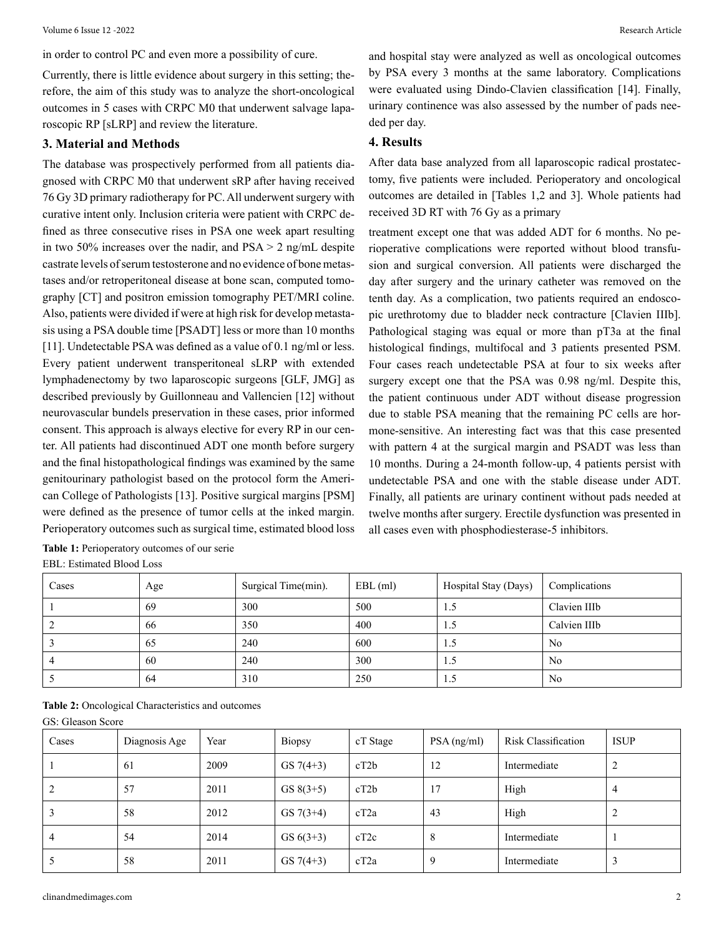in order to control PC and even more a possibility of cure.

Currently, there is little evidence about surgery in this setting; therefore, the aim of this study was to analyze the short-oncological outcomes in 5 cases with CRPC M0 that underwent salvage laparoscopic RP [sLRP] and review the literature.

#### **3. Material and Methods**

The database was prospectively performed from all patients diagnosed with CRPC M0 that underwent sRP after having received 76 Gy 3D primary radiotherapy for PC. All underwent surgery with curative intent only. Inclusion criteria were patient with CRPC defined as three consecutive rises in PSA one week apart resulting in two 50% increases over the nadir, and  $PSA > 2$  ng/mL despite castrate levels of serum testosterone and no evidence of bone metastases and/or retroperitoneal disease at bone scan, computed tomography [CT] and positron emission tomography PET/MRI coline. Also, patients were divided if were at high risk for develop metastasis using a PSA double time [PSADT] less or more than 10 months [11]. Undetectable PSA was defined as a value of 0.1 ng/ml or less. Every patient underwent transperitoneal sLRP with extended lymphadenectomy by two laparoscopic surgeons [GLF, JMG] as described previously by Guillonneau and Vallencien [12] without neurovascular bundels preservation in these cases, prior informed consent. This approach is always elective for every RP in our center. All patients had discontinued ADT one month before surgery and the final histopathological findings was examined by the same genitourinary pathologist based on the protocol form the American College of Pathologists [13]. Positive surgical margins [PSM] were defined as the presence of tumor cells at the inked margin. Perioperatory outcomes such as surgical time, estimated blood loss

**Table 1:** Perioperatory outcomes of our serie EBL: Estimated Blood Loss

and hospital stay were analyzed as well as oncological outcomes by PSA every 3 months at the same laboratory. Complications were evaluated using Dindo-Clavien classification [14]. Finally, urinary continence was also assessed by the number of pads needed per day.

#### **4. Results**

After data base analyzed from all laparoscopic radical prostatectomy, five patients were included. Perioperatory and oncological outcomes are detailed in [Tables 1,2 and 3]. Whole patients had received 3D RT with 76 Gy as a primary

treatment except one that was added ADT for 6 months. No perioperative complications were reported without blood transfusion and surgical conversion. All patients were discharged the day after surgery and the urinary catheter was removed on the tenth day. As a complication, two patients required an endoscopic urethrotomy due to bladder neck contracture [Clavien IIIb]. Pathological staging was equal or more than pT3a at the final histological findings, multifocal and 3 patients presented PSM. Four cases reach undetectable PSA at four to six weeks after surgery except one that the PSA was 0.98 ng/ml. Despite this, the patient continuous under ADT without disease progression due to stable PSA meaning that the remaining PC cells are hormone-sensitive. An interesting fact was that this case presented with pattern 4 at the surgical margin and PSADT was less than 10 months. During a 24-month follow-up, 4 patients persist with undetectable PSA and one with the stable disease under ADT. Finally, all patients are urinary continent without pads needed at twelve months after surgery. Erectile dysfunction was presented in all cases even with phosphodiesterase-5 inhibitors.

| Cases | Age | Surgical Time(min). | $EBL$ (ml) | Hospital Stay (Days) | Complications  |
|-------|-----|---------------------|------------|----------------------|----------------|
|       | 69  | 300                 | 500        | 1.5                  | Clavien IIIb   |
|       | -66 | 350                 | 400        | 1.5                  | Calvien IIIb   |
|       | 65  | 240                 | 600        | 1.5                  | N <sub>0</sub> |
|       | 60  | 240                 | 300        | 1.5                  | N <sub>0</sub> |
|       | -64 | 310                 | 250        | 1.5                  | N <sub>0</sub> |

**Table 2:** Oncological Characteristics and outcomes

GS: Gleason Score

| Cases | Diagnosis Age | Year | <b>Biopsy</b> | cT Stage | $PSA$ (ng/ml) | Risk Classification | <b>ISUP</b> |
|-------|---------------|------|---------------|----------|---------------|---------------------|-------------|
|       | 61            | 2009 | $GS7(4+3)$    | cT2b     | 12            | Intermediate        | 2           |
| 2     | 57            | 2011 | $GS 8(3+5)$   | cT2b     | 17            | High                | 4           |
|       | 58            | 2012 | $GS7(3+4)$    | cT2a     | 43            | High                | 2           |
| 4     | 54            | 2014 | GS $6(3+3)$   | cT2c     | 8             | Intermediate        |             |
|       | 58            | 2011 | $GS7(4+3)$    | cT2a     | 9             | Intermediate        | J.          |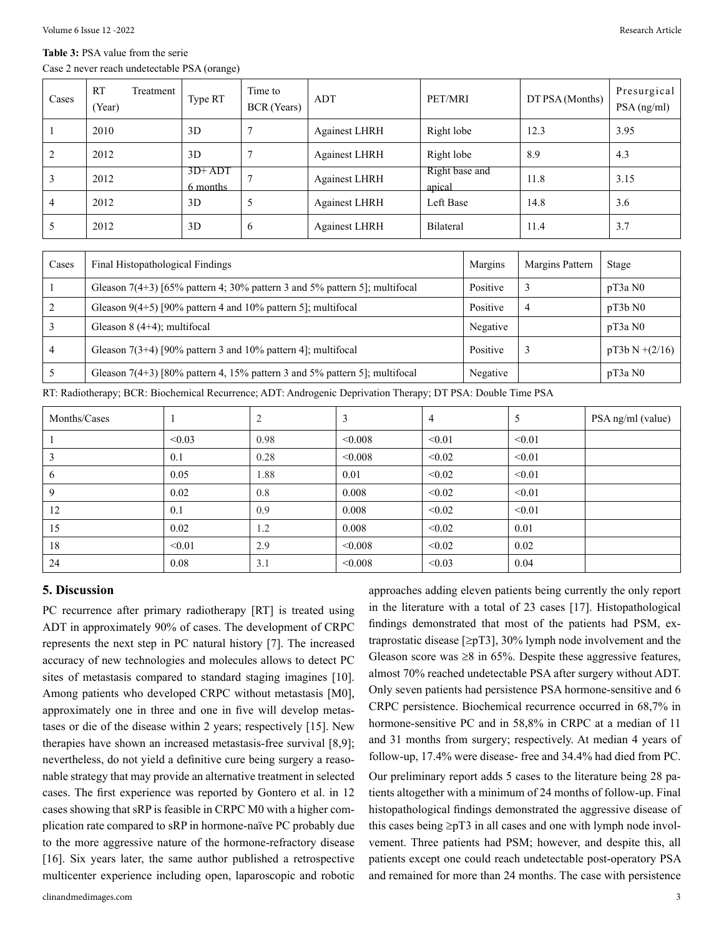#### **Table 3:** PSA value from the serie

Case 2 never reach undetectable PSA (orange)

| Cases | <b>RT</b><br>(Year) | Treatment | Type RT              | Time to<br>BCR (Years) | ADT                  | PET/MRI                  | DT PSA (Months) | Presurgical<br>PSA (ng/ml) |
|-------|---------------------|-----------|----------------------|------------------------|----------------------|--------------------------|-----------------|----------------------------|
|       | 2010                |           | 3D                   |                        | <b>Againest LHRH</b> | Right lobe               | 12.3            | 3.95                       |
| 2     | 2012                |           | 3D                   | $\overline{7}$         | <b>Againest LHRH</b> | Right lobe               | 8.9             | 4.3                        |
|       | 2012                |           | $3D+ADT$<br>6 months | $\mathbf{r}$           | <b>Againest LHRH</b> | Right base and<br>apical | 11.8            | 3.15                       |
| 4     | 2012                |           | 3D                   | 5                      | <b>Againest LHRH</b> | Left Base                | 14.8            | 3.6                        |
|       | 2012                |           | 3D                   | 6                      | <b>Againest LHRH</b> | Bilateral                | 11.4            | 3.7                        |

| Cases | Final Histopathological Findings                                             | Margins  | Margins Pattern | Stage          |
|-------|------------------------------------------------------------------------------|----------|-----------------|----------------|
|       | Gleason $7(4+3)$ [65% pattern 4; 30% pattern 3 and 5% pattern 5]; multifical | Positive |                 | pT3aN0         |
|       | Gleason $9(4+5)$ [90% pattern 4 and 10% pattern 5]; multifocal               | Positive |                 | pT3bN0         |
|       | Gleason $8(4+4)$ ; multifocal                                                | Negative |                 | pT3aN0         |
|       | Gleason $7(3+4)$ [90% pattern 3 and 10% pattern 4]; multifocal               | Positive |                 | $pT3bN+(2/16)$ |
|       | Gleason $7(4+3)$ [80% pattern 4, 15% pattern 3 and 5% pattern 5]; multifocal | Negative |                 | pT3aN0         |

RT: Radiotherapy; BCR: Biochemical Recurrence; ADT: Androgenic Deprivation Therapy; DT PSA: Double Time PSA

| Months/Cases |        | $\overline{2}$ | 3       | $\overline{4}$ | 5      | PSA ng/ml (value) |
|--------------|--------|----------------|---------|----------------|--------|-------------------|
|              | < 0.03 | 0.98           | < 0.008 | < 0.01         | < 0.01 |                   |
|              | 0.1    | 0.28           | < 0.008 | < 0.02         | < 0.01 |                   |
| 6            | 0.05   | 1.88           | 0.01    | < 0.02         | < 0.01 |                   |
| 9            | 0.02   | 0.8            | 0.008   | < 0.02         | < 0.01 |                   |
| 12           | 0.1    | 0.9            | 0.008   | < 0.02         | < 0.01 |                   |
| 15           | 0.02   | 1.2            | 0.008   | < 0.02         | 0.01   |                   |
| 18           | < 0.01 | 2.9            | < 0.008 | < 0.02         | 0.02   |                   |
| 24           | 0.08   | 3.1            | < 0.008 | < 0.03         | 0.04   |                   |

#### **5. Discussion**

PC recurrence after primary radiotherapy [RT] is treated using ADT in approximately 90% of cases. The development of CRPC represents the next step in PC natural history [7]. The increased accuracy of new technologies and molecules allows to detect PC sites of metastasis compared to standard staging imagines [10]. Among patients who developed CRPC without metastasis [M0], approximately one in three and one in five will develop metastases or die of the disease within 2 years; respectively [15]. New therapies have shown an increased metastasis-free survival [8,9]; nevertheless, do not yield a definitive cure being surgery a reasonable strategy that may provide an alternative treatment in selected cases. The first experience was reported by Gontero et al. in 12 cases showing that sRP is feasible in CRPC M0 with a higher complication rate compared to sRP in hormone-naïve PC probably due to the more aggressive nature of the hormone-refractory disease [16]. Six years later, the same author published a retrospective multicenter experience including open, laparoscopic and robotic

approaches adding eleven patients being currently the only report in the literature with a total of 23 cases [17]. Histopathological findings demonstrated that most of the patients had PSM, extraprostatic disease  $[\geq pT3]$ , 30% lymph node involvement and the Gleason score was  $\geq 8$  in 65%. Despite these aggressive features, almost 70% reached undetectable PSA after surgery without ADT. Only seven patients had persistence PSA hormone-sensitive and 6 CRPC persistence. Biochemical recurrence occurred in 68,7% in hormone-sensitive PC and in 58,8% in CRPC at a median of 11 and 31 months from surgery; respectively. At median 4 years of follow-up, 17.4% were disease- free and 34.4% had died from PC. Our preliminary report adds 5 cases to the literature being 28 patients altogether with a minimum of 24 months of follow-up. Final histopathological findings demonstrated the aggressive disease of this cases being  $\geq pT3$  in all cases and one with lymph node involvement. Three patients had PSM; however, and despite this, all patients except one could reach undetectable post-operatory PSA and remained for more than 24 months. The case with persistence